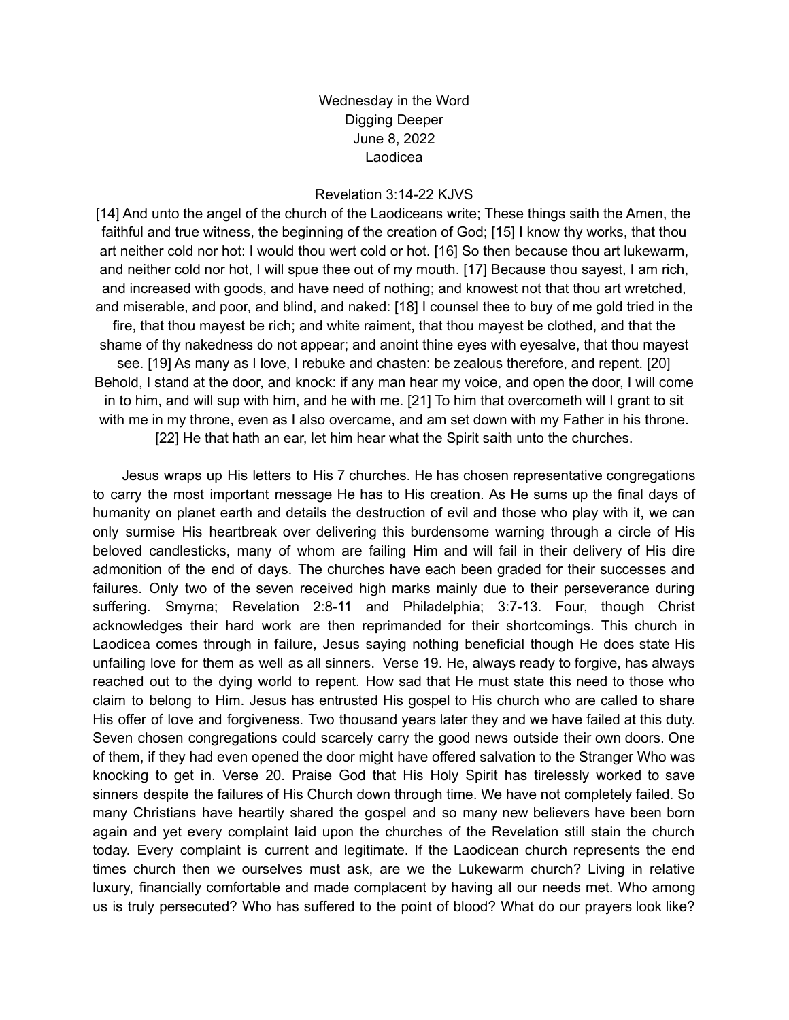Wednesday in the Word Digging Deeper June 8, 2022 Laodicea

## Revelation 3:14-22 KJVS

[14] And unto the angel of the church of the Laodiceans write; These things saith the Amen, the faithful and true witness, the beginning of the creation of God; [15] I know thy works, that thou art neither cold nor hot: I would thou wert cold or hot. [16] So then because thou art lukewarm, and neither cold nor hot, I will spue thee out of my mouth. [17] Because thou sayest, I am rich, and increased with goods, and have need of nothing; and knowest not that thou art wretched, and miserable, and poor, and blind, and naked: [18] I counsel thee to buy of me gold tried in the fire, that thou mayest be rich; and white raiment, that thou mayest be clothed, and that the shame of thy nakedness do not appear; and anoint thine eyes with eyesalve, that thou mayest see. [19] As many as I love, I rebuke and chasten: be zealous therefore, and repent. [20] Behold, I stand at the door, and knock: if any man hear my voice, and open the door, I will come in to him, and will sup with him, and he with me. [21] To him that overcometh will I grant to sit with me in my throne, even as I also overcame, and am set down with my Father in his throne. [22] He that hath an ear, let him hear what the Spirit saith unto the churches.

Jesus wraps up His letters to His 7 churches. He has chosen representative congregations to carry the most important message He has to His creation. As He sums up the final days of humanity on planet earth and details the destruction of evil and those who play with it, we can only surmise His heartbreak over delivering this burdensome warning through a circle of His beloved candlesticks, many of whom are failing Him and will fail in their delivery of His dire admonition of the end of days. The churches have each been graded for their successes and failures. Only two of the seven received high marks mainly due to their perseverance during suffering. Smyrna; Revelation 2:8-11 and Philadelphia; 3:7-13. Four, though Christ acknowledges their hard work are then reprimanded for their shortcomings. This church in Laodicea comes through in failure, Jesus saying nothing beneficial though He does state His unfailing love for them as well as all sinners. Verse 19. He, always ready to forgive, has always reached out to the dying world to repent. How sad that He must state this need to those who claim to belong to Him. Jesus has entrusted His gospel to His church who are called to share His offer of love and forgiveness. Two thousand years later they and we have failed at this duty. Seven chosen congregations could scarcely carry the good news outside their own doors. One of them, if they had even opened the door might have offered salvation to the Stranger Who was knocking to get in. Verse 20. Praise God that His Holy Spirit has tirelessly worked to save sinners despite the failures of His Church down through time. We have not completely failed. So many Christians have heartily shared the gospel and so many new believers have been born again and yet every complaint laid upon the churches of the Revelation still stain the church today. Every complaint is current and legitimate. If the Laodicean church represents the end times church then we ourselves must ask, are we the Lukewarm church? Living in relative luxury, financially comfortable and made complacent by having all our needs met. Who among us is truly persecuted? Who has suffered to the point of blood? What do our prayers look like?